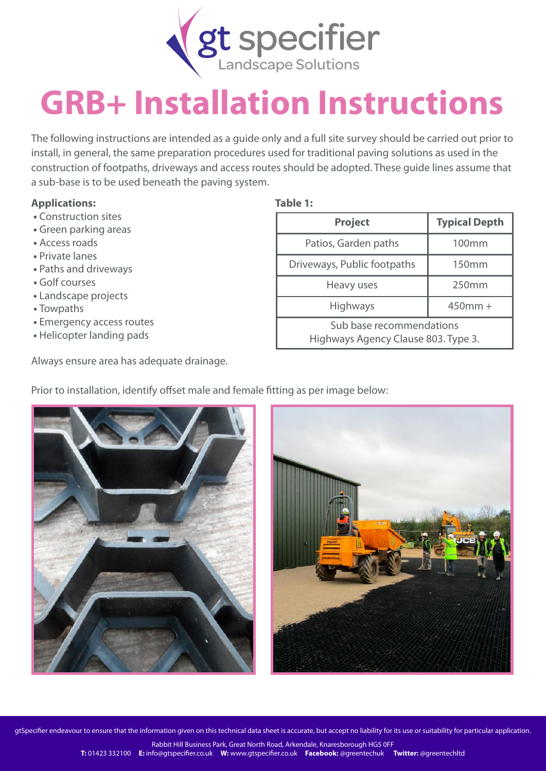

## **GRB+ Installation Instructions**

The following instructions are intended as a guide only and a full site survey should be carried out prior to install, in general, the same preparation procedures used for traditional paving solutions as used in the construction of footpaths, driveways and access routes should be adopted. These guide lines assume that a sub-base is to be used beneath the paving system.

## **Applications: Table 1:**

- **•** Construction sites
- **•** Green parking areas
- **•** Access roads
- **•** Private lanes
- **•** Paths and driveways
- **•** Golf courses
- **•** Landscape projects
- **•** Towpaths
- **•** Emergency access routes
- **•** Helicopter landing pads

Always ensure area has adequate drainage.

| <b>Project</b>                                                  | <b>Typical Depth</b> |
|-----------------------------------------------------------------|----------------------|
| Patios, Garden paths                                            | 100 <sub>mm</sub>    |
| Driveways, Public footpaths                                     | 150mm                |
| Heavy uses                                                      | 250 <sub>mm</sub>    |
| Highways                                                        | $450$ mm +           |
| Sub base recommendations<br>Highways Agency Clause 803. Type 3. |                      |

Prior to installation, identify offset male and female fitting as per image below:





gtSpecifier endeavour to ensure that the information given on this technical data sheet is accurate, but accept no liability for its use or suitability for particular application.

Rabbit Hill Business Park, Great North Road, Arkendale, Knaresborough HG5 0FF